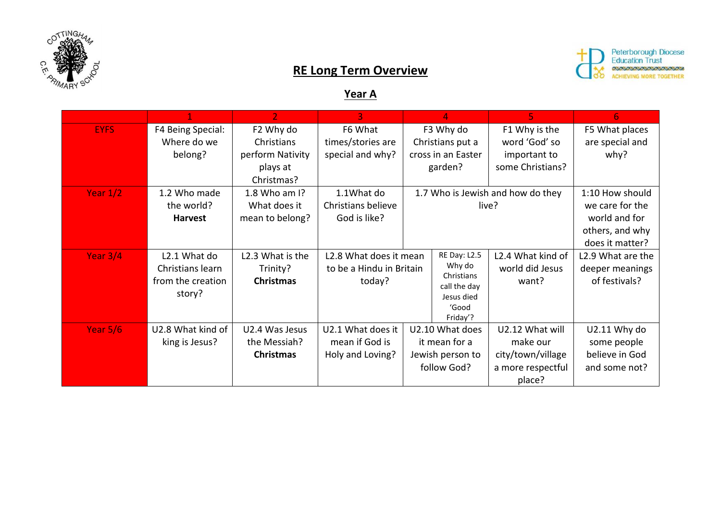



## **RE Long Term Overview**

## **Year A**

|             |                                                                 | $\overline{2}$                                                        | $\overline{3}$                                               |                                            | 4                                                                                       | 5.                                                                              | 6                                                                                         |
|-------------|-----------------------------------------------------------------|-----------------------------------------------------------------------|--------------------------------------------------------------|--------------------------------------------|-----------------------------------------------------------------------------------------|---------------------------------------------------------------------------------|-------------------------------------------------------------------------------------------|
| <b>EYFS</b> | F4 Being Special:<br>Where do we<br>belong?                     | F2 Why do<br>Christians<br>perform Nativity<br>plays at<br>Christmas? | F6 What<br>times/stories are<br>special and why?             |                                            | F3 Why do<br>Christians put a<br>cross in an Easter<br>garden?                          | F1 Why is the<br>word 'God' so<br>important to<br>some Christians?              | F5 What places<br>are special and<br>why?                                                 |
| Year $1/2$  | 1.2 Who made<br>the world?<br><b>Harvest</b>                    | 1.8 Who am I?<br>What does it<br>mean to belong?                      | 1.1What do<br>Christians believe<br>God is like?             | 1.7 Who is Jewish and how do they<br>live? |                                                                                         |                                                                                 | 1:10 How should<br>we care for the<br>world and for<br>others, and why<br>does it matter? |
| Year $3/4$  | L2.1 What do<br>Christians learn<br>from the creation<br>story? | L2.3 What is the<br>Trinity?<br><b>Christmas</b>                      | L2.8 What does it mean<br>to be a Hindu in Britain<br>today? |                                            | RE Day: L2.5<br>Why do<br>Christians<br>call the day<br>Jesus died<br>'Good<br>Friday'? | L2.4 What kind of<br>world did Jesus<br>want?                                   | L2.9 What are the<br>deeper meanings<br>of festivals?                                     |
| Year $5/6$  | U2.8 What kind of<br>king is Jesus?                             | U2.4 Was Jesus<br>the Messiah?<br><b>Christmas</b>                    | U2.1 What does it<br>mean if God is<br>Holy and Loving?      |                                            | U2.10 What does<br>it mean for a<br>Jewish person to<br>follow God?                     | U2.12 What will<br>make our<br>city/town/village<br>a more respectful<br>place? | U2.11 Why do<br>some people<br>believe in God<br>and some not?                            |